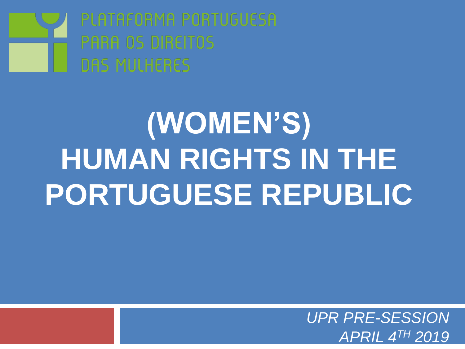

# **(WOMEN'S) HUMAN RIGHTS IN THE PORTUGUESE REPUBLIC**

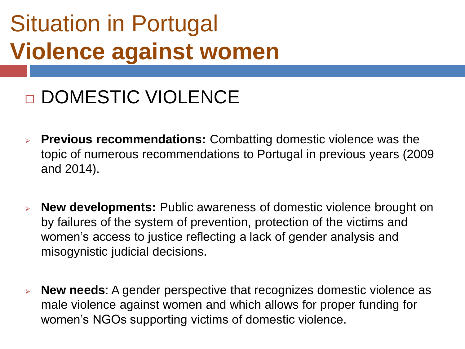### Situation in Portugal **Violence against women**

### □ DOMESTIC VIOLENCE

- ➢ **Previous recommendations:** Combatting domestic violence was the topic of numerous recommendations to Portugal in previous years (2009 and 2014).
- ➢ **New developments:** Public awareness of domestic violence brought on by failures of the system of prevention, protection of the victims and women's access to justice reflecting a lack of gender analysis and misogynistic judicial decisions.
- ➢ **New needs**: A gender perspective that recognizes domestic violence as male violence against women and which allows for proper funding for women's NGOs supporting victims of domestic violence.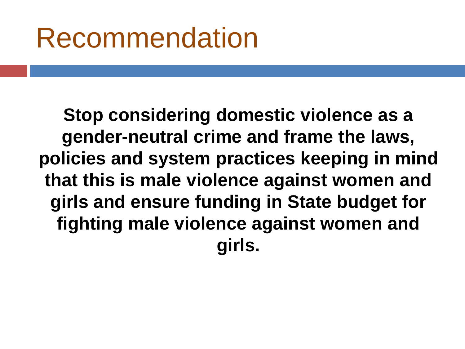**Stop considering domestic violence as a gender-neutral crime and frame the laws, policies and system practices keeping in mind that this is male violence against women and girls and ensure funding in State budget for fighting male violence against women and girls.**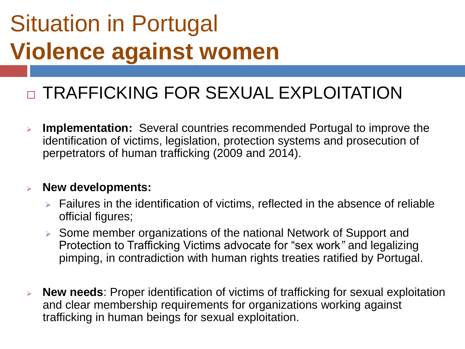### Situation in Portugal **Violence against women**

#### **D TRAFFICKING FOR SEXUAL EXPLOITATION**

➢ **Implementation:** Several countries recommended Portugal to improve the identification of victims, legislation, protection systems and prosecution of perpetrators of human trafficking (2009 and 2014).

#### ➢ **New developments:**

- ➢ Failures in the identification of victims, reflected in the absence of reliable official figures;
- ➢ Some member organizations of the national Network of Support and Protection to Trafficking Victims advocate for "sex work*"* and legalizing pimping, in contradiction with human rights treaties ratified by Portugal.
- ➢ **New needs**: Proper identification of victims of trafficking for sexual exploitation and clear membership requirements for organizations working against trafficking in human beings for sexual exploitation.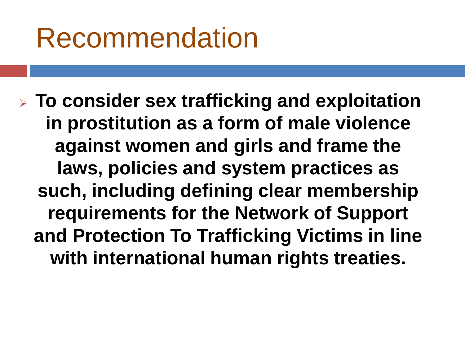➢ **To consider sex trafficking and exploitation in prostitution as a form of male violence against women and girls and frame the laws, policies and system practices as such, including defining clear membership requirements for the Network of Support and Protection To Trafficking Victims in line with international human rights treaties.**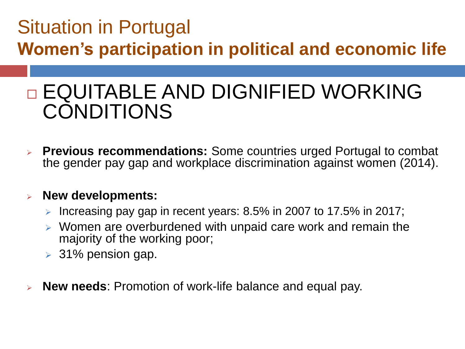### Situation in Portugal **Women's participation in political and economic life**

### □ EQUITABLE AND DIGNIFIED WORKING CONDITIONS

➢ **Previous recommendations:** Some countries urged Portugal to combat the gender pay gap and workplace discrimination against women (2014).

#### ➢ **New developments:**

- $\triangleright$  Increasing pay gap in recent years: 8.5% in 2007 to 17.5% in 2017;
- ➢ Women are overburdened with unpaid care work and remain the majority of the working poor;
- $>$  31% pension gap.
- ➢ **New needs**: Promotion of work-life balance and equal pay.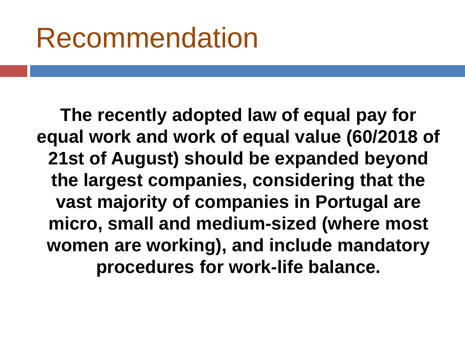**The recently adopted law of equal pay for equal work and work of equal value (60/2018 of 21st of August) should be expanded beyond the largest companies, considering that the vast majority of companies in Portugal are micro, small and medium-sized (where most women are working), and include mandatory procedures for work-life balance.**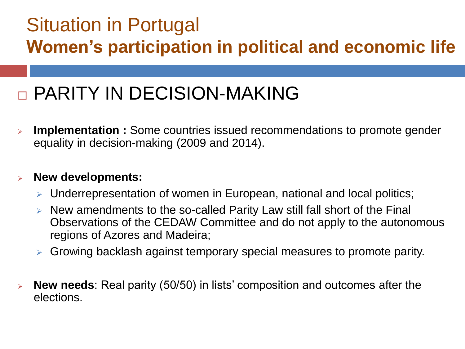#### Situation in Portugal **Women's participation in political and economic life**

### **D PARITY IN DECISION-MAKING**

**Implementation :** Some countries issued recommendations to promote gender equality in decision-making (2009 and 2014).

#### ➢ **New developments:**

- ➢ Underrepresentation of women in European, national and local politics;
- ➢ New amendments to the so-called Parity Law still fall short of the Final Observations of the CEDAW Committee and do not apply to the autonomous regions of Azores and Madeira;
- ➢ Growing backlash against temporary special measures to promote parity.
- ➢ **New needs**: Real parity (50/50) in lists' composition and outcomes after the elections.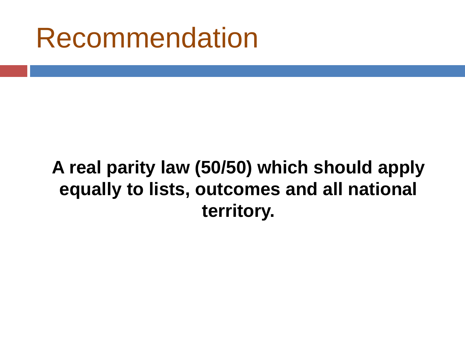#### **A real parity law (50/50) which should apply equally to lists, outcomes and all national territory.**